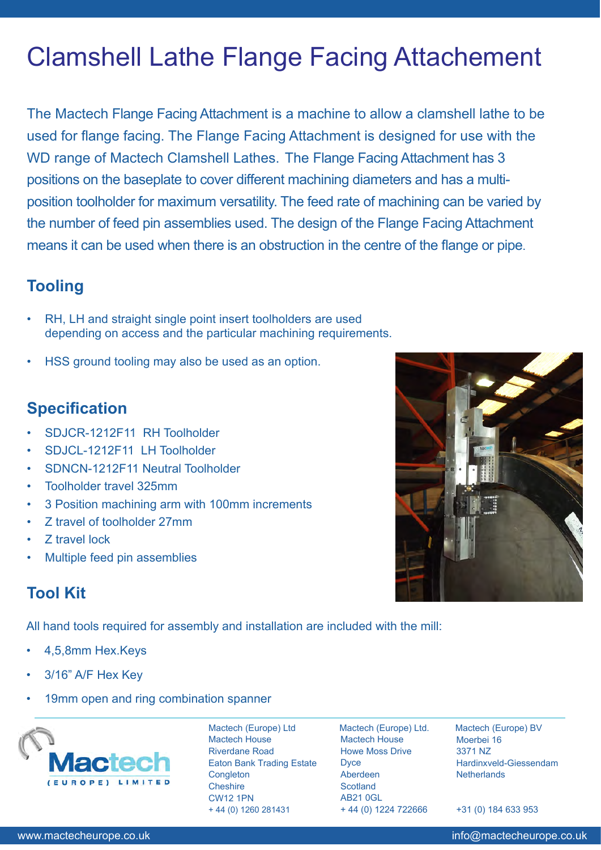# Clamshell Lathe Flange Facing Attachement

The Mactech Flange Facing Attachment is a machine to allow a clamshell lathe to be used for flange facing. The Flange Facing Attachment is designed for use with the WD range of Mactech Clamshell Lathes. The Flange Facing Attachment has 3 positions on the baseplate to cover different machining diameters and has a multiposition toolholder for maximum versatility. The feed rate of machining can be varied by the number of feed pin assemblies used. The design of the Flange Facing Attachment means it can be used when there is an obstruction in the centre of the flange or pipe.

#### **Tooling**

- RH, LH and straight single point insert toolholders are used depending on access and the particular machining requirements.
- HSS ground tooling may also be used as an option.

#### **Specification**

- SDJCR-1212F11 RH Toolholder
- SDJCL-1212F11 LH Toolholder
- SDNCN-1212F11 Neutral Toolholder
- Toolholder travel 325mm
- 3 Position machining arm with 100mm increments
- Z travel of toolholder 27mm
- Z travel lock
- Multiple feed pin assemblies

### **Tool Kit**

All hand tools required for assembly and installation are included with the mill:

- 4,5,8mm Hex.Keys
- 3/16" A/F Hex Key
- 19mm open and ring combination spanner



Mactech (Europe) Ltd Mactech House Riverdane Road Eaton Bank Trading Estate **Congleton Cheshire** CW12 1PN + 44 (0) 1260 281431

Mactech (Europe) Ltd. Mactech House Howe Moss Drive **Dyce** Aberdeen **Scotland** AB21 0GL + 44 (0) 1224 722666

Mactech (Europe) BV Moerbei 16 3371 NZ Hardinxveld-Giessendam **Netherlands** 

+31 (0) 184 633 953